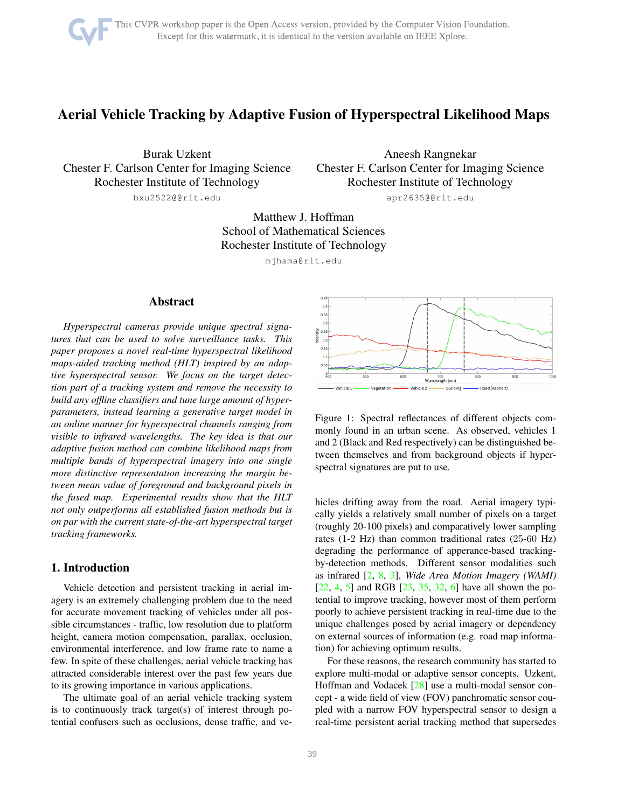# <span id="page-0-1"></span>Aerial Vehicle Tracking by Adaptive Fusion of Hyperspectral Likelihood Maps

Burak Uzkent Chester F. Carlson Center for Imaging Science Rochester Institute of Technology bxu2522@@rit.edu

Aneesh Rangnekar Chester F. Carlson Center for Imaging Science Rochester Institute of Technology apr2635@@rit.edu

Matthew J. Hoffman School of Mathematical Sciences Rochester Institute of Technology

mjhsma@rit.edu

# Abstract

*Hyperspectral cameras provide unique spectral signatures that can be used to solve surveillance tasks. This paper proposes a novel real-time hyperspectral likelihood maps-aided tracking method (HLT) inspired by an adaptive hyperspectral sensor. We focus on the target detection part of a tracking system and remove the necessity to build any offline classifiers and tune large amount of hyperparameters, instead learning a generative target model in an online manner for hyperspectral channels ranging from visible to infrared wavelengths. The key idea is that our adaptive fusion method can combine likelihood maps from multiple bands of hyperspectral imagery into one single more distinctive representation increasing the margin between mean value of foreground and background pixels in the fused map. Experimental results show that the HLT not only outperforms all established fusion methods but is on par with the current state-of-the-art hyperspectral target tracking frameworks.*

# 1. Introduction

Vehicle detection and persistent tracking in aerial imagery is an extremely challenging problem due to the need for accurate movement tracking of vehicles under all possible circumstances - traffic, low resolution due to platform height, camera motion compensation, parallax, occlusion, environmental interference, and low frame rate to name a few. In spite of these challenges, aerial vehicle tracking has attracted considerable interest over the past few years due to its growing importance in various applications.

The ultimate goal of an aerial vehicle tracking system is to continuously track target(s) of interest through potential confusers such as occlusions, dense traffic, and ve-

<span id="page-0-0"></span>

Figure 1: Spectral reflectances of different objects commonly found in an urban scene. As observed, vehicles 1 and 2 (Black and Red respectively) can be distinguished between themselves and from background objects if hyperspectral signatures are put to use.

hicles drifting away from the road. Aerial imagery typically yields a relatively small number of pixels on a target (roughly 20-100 pixels) and comparatively lower sampling rates (1-2 Hz) than common traditional rates (25-60 Hz) degrading the performance of apperance-based trackingby-detection methods. Different sensor modalities such as infrared [\[2,](#page-8-0) [8,](#page-8-1) [3\]](#page-8-2), *Wide Area Motion Imagery (WAMI)* [\[22,](#page-8-3) [4,](#page-8-4) [5\]](#page-8-5) and RGB  $[23, 35, 32, 6]$  $[23, 35, 32, 6]$  $[23, 35, 32, 6]$  $[23, 35, 32, 6]$  $[23, 35, 32, 6]$  $[23, 35, 32, 6]$  have all shown the potential to improve tracking, however most of them perform poorly to achieve persistent tracking in real-time due to the unique challenges posed by aerial imagery or dependency on external sources of information (e.g. road map information) for achieving optimum results.

For these reasons, the research community has started to explore multi-modal or adaptive sensor concepts. Uzkent, Hoffman and Vodacek [\[28\]](#page-9-2) use a multi-modal sensor concept - a wide field of view (FOV) panchromatic sensor coupled with a narrow FOV hyperspectral sensor to design a real-time persistent aerial tracking method that supersedes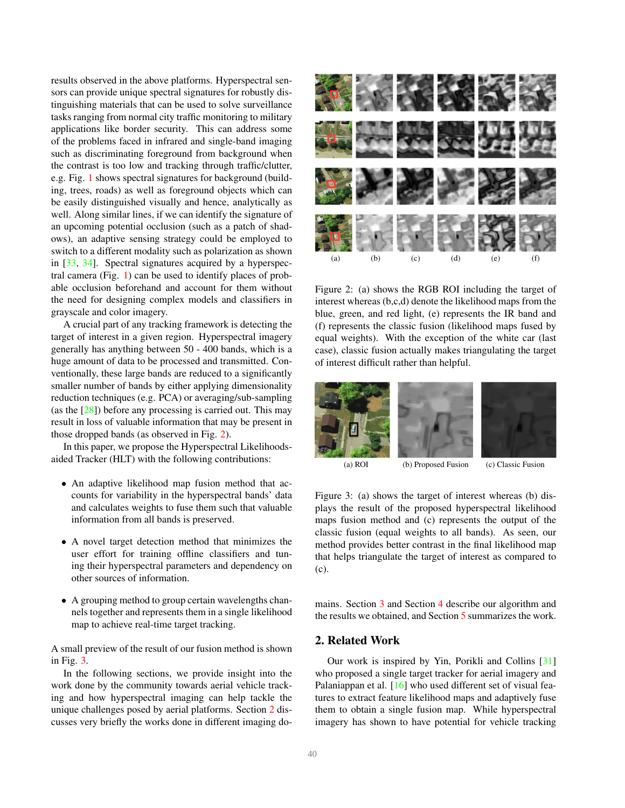<span id="page-1-3"></span>results observed in the above platforms. Hyperspectral sensors can provide unique spectral signatures for robustly distinguishing materials that can be used to solve surveillance tasks ranging from normal city traffic monitoring to military applications like border security. This can address some of the problems faced in infrared and single-band imaging such as discriminating foreground from background when the contrast is too low and tracking through traffic/clutter, e.g. Fig. [1](#page-0-0) shows spectral signatures for background (building, trees, roads) as well as foreground objects which can be easily distinguished visually and hence, analytically as well. Along similar lines, if we can identify the signature of an upcoming potential occlusion (such as a patch of shadows), an adaptive sensing strategy could be employed to switch to a different modality such as polarization as shown in [\[33,](#page-9-3) [34\]](#page-9-4). Spectral signatures acquired by a hyperspectral camera (Fig. [1\)](#page-0-0) can be used to identify places of probable occlusion beforehand and account for them without the need for designing complex models and classifiers in grayscale and color imagery.

A crucial part of any tracking framework is detecting the target of interest in a given region. Hyperspectral imagery generally has anything between 50 - 400 bands, which is a huge amount of data to be processed and transmitted. Conventionally, these large bands are reduced to a significantly smaller number of bands by either applying dimensionality reduction techniques (e.g. PCA) or averaging/sub-sampling (as the [\[28\]](#page-9-2)) before any processing is carried out. This may result in loss of valuable information that may be present in those dropped bands (as observed in Fig. [2\)](#page-1-0).

In this paper, we propose the Hyperspectral Likelihoodsaided Tracker (HLT) with the following contributions:

- An adaptive likelihood map fusion method that accounts for variability in the hyperspectral bands' data and calculates weights to fuse them such that valuable information from all bands is preserved.
- A novel target detection method that minimizes the user effort for training offline classifiers and tuning their hyperspectral parameters and dependency on other sources of information.
- A grouping method to group certain wavelengths channels together and represents them in a single likelihood map to achieve real-time target tracking.

A small preview of the result of our fusion method is shown in Fig. [3.](#page-1-1)

In the following sections, we provide insight into the work done by the community towards aerial vehicle tracking and how hyperspectral imaging can help tackle the unique challenges posed by aerial platforms. Section [2](#page-1-2) discusses very briefly the works done in different imaging do-

<span id="page-1-0"></span>

Figure 2: (a) shows the RGB ROI including the target of interest whereas (b,c,d) denote the likelihood maps from the blue, green, and red light, (e) represents the IR band and (f) represents the classic fusion (likelihood maps fused by equal weights). With the exception of the white car (last case), classic fusion actually makes triangulating the target of interest difficult rather than helpful.

<span id="page-1-1"></span>

(a) ROI (b) Proposed Fusion (c) Classic Fusion

Figure 3: (a) shows the target of interest whereas (b) displays the result of the proposed hyperspectral likelihood maps fusion method and (c) represents the output of the classic fusion (equal weights to all bands). As seen, our method provides better contrast in the final likelihood map that helps triangulate the target of interest as compared to (c).

mains. Section [3](#page-3-0) and Section [4](#page-5-0) describe our algorithm and the results we obtained, and Section [5](#page-7-0) summarizes the work.

# <span id="page-1-2"></span>2. Related Work

Our work is inspired by Yin, Porikli and Collins [\[31\]](#page-9-5) who proposed a single target tracker for aerial imagery and Palaniappan et al. [\[16\]](#page-8-8) who used different set of visual features to extract feature likelihood maps and adaptively fuse them to obtain a single fusion map. While hyperspectral imagery has shown to have potential for vehicle tracking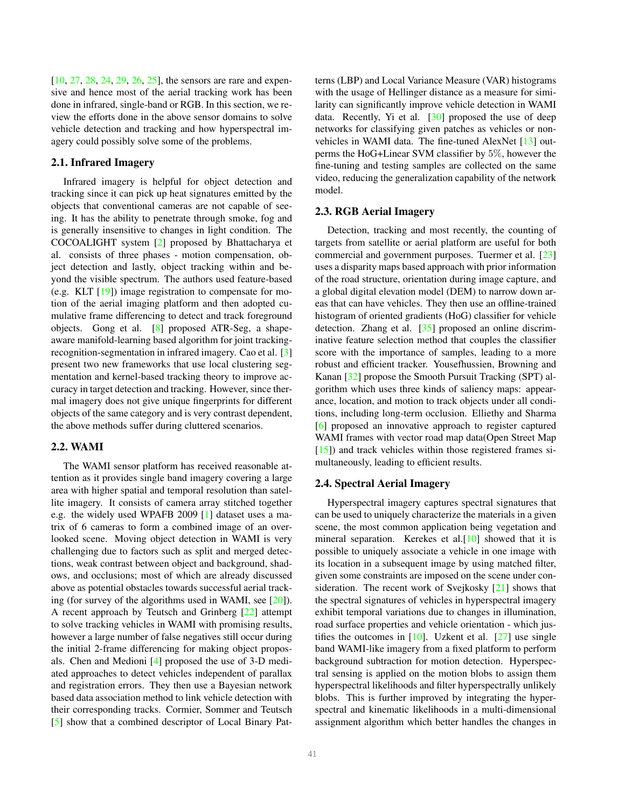<span id="page-2-0"></span>[\[10,](#page-8-9) [27,](#page-9-6) [28,](#page-9-2) [24,](#page-8-10) [29,](#page-9-7) [26,](#page-8-11) [25\]](#page-8-12), the sensors are rare and expensive and hence most of the aerial tracking work has been done in infrared, single-band or RGB. In this section, we review the efforts done in the above sensor domains to solve vehicle detection and tracking and how hyperspectral imagery could possibly solve some of the problems.

# 2.1. Infrared Imagery

Infrared imagery is helpful for object detection and tracking since it can pick up heat signatures emitted by the objects that conventional cameras are not capable of seeing. It has the ability to penetrate through smoke, fog and is generally insensitive to changes in light condition. The COCOALIGHT system [\[2\]](#page-8-0) proposed by Bhattacharya et al. consists of three phases - motion compensation, object detection and lastly, object tracking within and beyond the visible spectrum. The authors used feature-based (e.g. KLT [\[19\]](#page-8-13)) image registration to compensate for motion of the aerial imaging platform and then adopted cumulative frame differencing to detect and track foreground objects. Gong et al. [\[8\]](#page-8-1) proposed ATR-Seg, a shapeaware manifold-learning based algorithm for joint trackingrecognition-segmentation in infrared imagery. Cao et al. [\[3\]](#page-8-2) present two new frameworks that use local clustering segmentation and kernel-based tracking theory to improve accuracy in target detection and tracking. However, since thermal imagery does not give unique fingerprints for different objects of the same category and is very contrast dependent, the above methods suffer during cluttered scenarios.

### 2.2. WAMI

The WAMI sensor platform has received reasonable attention as it provides single band imagery covering a large area with higher spatial and temporal resolution than satellite imagery. It consists of camera array stitched together e.g. the widely used WPAFB 2009 [\[1\]](#page-8-14) dataset uses a matrix of 6 cameras to form a combined image of an overlooked scene. Moving object detection in WAMI is very challenging due to factors such as split and merged detections, weak contrast between object and background, shadows, and occlusions; most of which are already discussed above as potential obstacles towards successful aerial tracking (for survey of the algorithms used in WAMI, see [\[20\]](#page-8-15)). A recent approach by Teutsch and Grinberg [\[22\]](#page-8-3) attempt to solve tracking vehicles in WAMI with promising results, however a large number of false negatives still occur during the initial 2-frame differencing for making object proposals. Chen and Medioni [\[4\]](#page-8-4) proposed the use of 3-D mediated approaches to detect vehicles independent of parallax and registration errors. They then use a Bayesian network based data association method to link vehicle detection with their corresponding tracks. Cormier, Sommer and Teutsch [\[5\]](#page-8-5) show that a combined descriptor of Local Binary Patterns (LBP) and Local Variance Measure (VAR) histograms with the usage of Hellinger distance as a measure for similarity can significantly improve vehicle detection in WAMI data. Recently, Yi et al. [\[30\]](#page-9-8) proposed the use of deep networks for classifying given patches as vehicles or nonvehicles in WAMI data. The fine-tuned AlexNet [\[13\]](#page-8-16) outperms the HoG+Linear SVM classifier by 5%, however the fine-tuning and testing samples are collected on the same video, reducing the generalization capability of the network model.

### 2.3. RGB Aerial Imagery

Detection, tracking and most recently, the counting of targets from satellite or aerial platform are useful for both commercial and government purposes. Tuermer et al. [\[23\]](#page-8-6) uses a disparity maps based approach with prior information of the road structure, orientation during image capture, and a global digital elevation model (DEM) to narrow down areas that can have vehicles. They then use an offline-trained histogram of oriented gradients (HoG) classifier for vehicle detection. Zhang et al. [\[35\]](#page-9-0) proposed an online discriminative feature selection method that couples the classifier score with the importance of samples, leading to a more robust and efficient tracker. Yousefhussien, Browning and Kanan [\[32\]](#page-9-1) propose the Smooth Pursuit Tracking (SPT) algorithm which uses three kinds of saliency maps: appearance, location, and motion to track objects under all conditions, including long-term occlusion. Elliethy and Sharma [\[6\]](#page-8-7) proposed an innovative approach to register captured WAMI frames with vector road map data(Open Street Map  $[15]$ ) and track vehicles within those registered frames simultaneously, leading to efficient results.

#### 2.4. Spectral Aerial Imagery

Hyperspectral imagery captures spectral signatures that can be used to uniquely characterize the materials in a given scene, the most common application being vegetation and mineral separation. Kerekes et al.[\[10\]](#page-8-9) showed that it is possible to uniquely associate a vehicle in one image with its location in a subsequent image by using matched filter, given some constraints are imposed on the scene under consideration. The recent work of Svejkosky [\[21\]](#page-8-18) shows that the spectral signatures of vehicles in hyperspectral imagery exhibit temporal variations due to changes in illumination, road surface properties and vehicle orientation - which justifies the outcomes in  $[10]$ . Uzkent et al.  $[27]$  use single band WAMI-like imagery from a fixed platform to perform background subtraction for motion detection. Hyperspectral sensing is applied on the motion blobs to assign them hyperspectral likelihoods and filter hyperspectrally unlikely blobs. This is further improved by integrating the hyperspectral and kinematic likelihoods in a multi-dimensional assignment algorithm which better handles the changes in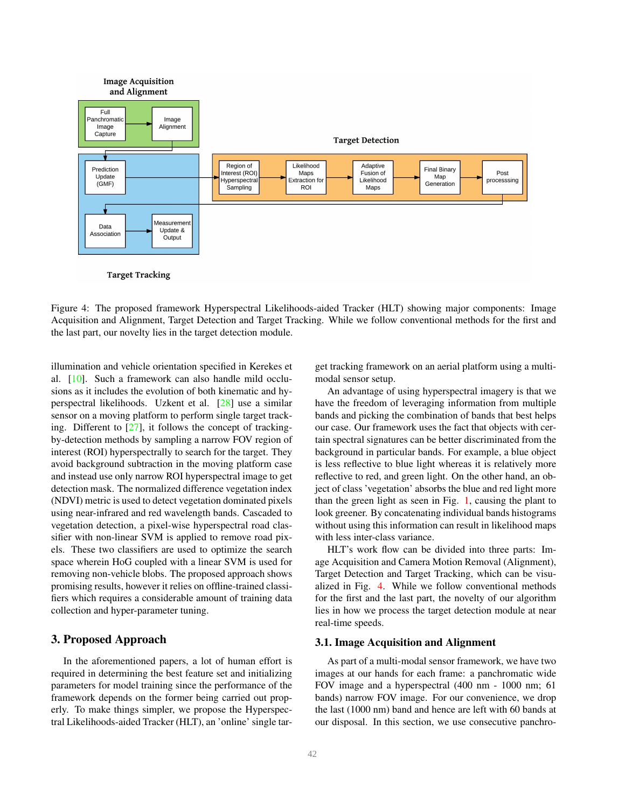<span id="page-3-2"></span><span id="page-3-1"></span>

Figure 4: The proposed framework Hyperspectral Likelihoods-aided Tracker (HLT) showing major components: Image Acquisition and Alignment, Target Detection and Target Tracking. While we follow conventional methods for the first and the last part, our novelty lies in the target detection module.

illumination and vehicle orientation specified in Kerekes et al. [\[10\]](#page-8-9). Such a framework can also handle mild occlusions as it includes the evolution of both kinematic and hyperspectral likelihoods. Uzkent et al. [\[28\]](#page-9-2) use a similar sensor on a moving platform to perform single target tracking. Different to  $[27]$ , it follows the concept of trackingby-detection methods by sampling a narrow FOV region of interest (ROI) hyperspectrally to search for the target. They avoid background subtraction in the moving platform case and instead use only narrow ROI hyperspectral image to get detection mask. The normalized difference vegetation index (NDVI) metric is used to detect vegetation dominated pixels using near-infrared and red wavelength bands. Cascaded to vegetation detection, a pixel-wise hyperspectral road classifier with non-linear SVM is applied to remove road pixels. These two classifiers are used to optimize the search space wherein HoG coupled with a linear SVM is used for removing non-vehicle blobs. The proposed approach shows promising results, however it relies on offline-trained classifiers which requires a considerable amount of training data collection and hyper-parameter tuning.

# <span id="page-3-0"></span>3. Proposed Approach

In the aforementioned papers, a lot of human effort is required in determining the best feature set and initializing parameters for model training since the performance of the framework depends on the former being carried out properly. To make things simpler, we propose the Hyperspectral Likelihoods-aided Tracker (HLT), an 'online' single target tracking framework on an aerial platform using a multimodal sensor setup.

An advantage of using hyperspectral imagery is that we have the freedom of leveraging information from multiple bands and picking the combination of bands that best helps our case. Our framework uses the fact that objects with certain spectral signatures can be better discriminated from the background in particular bands. For example, a blue object is less reflective to blue light whereas it is relatively more reflective to red, and green light. On the other hand, an object of class 'vegetation' absorbs the blue and red light more than the green light as seen in Fig. [1,](#page-0-0) causing the plant to look greener. By concatenating individual bands histograms without using this information can result in likelihood maps with less inter-class variance.

HLT's work flow can be divided into three parts: Image Acquisition and Camera Motion Removal (Alignment), Target Detection and Target Tracking, which can be visualized in Fig. [4.](#page-3-1) While we follow conventional methods for the first and the last part, the novelty of our algorithm lies in how we process the target detection module at near real-time speeds.

### 3.1. Image Acquisition and Alignment

As part of a multi-modal sensor framework, we have two images at our hands for each frame: a panchromatic wide FOV image and a hyperspectral (400 nm - 1000 nm; 61 bands) narrow FOV image. For our convenience, we drop the last (1000 nm) band and hence are left with 60 bands at our disposal. In this section, we use consecutive panchro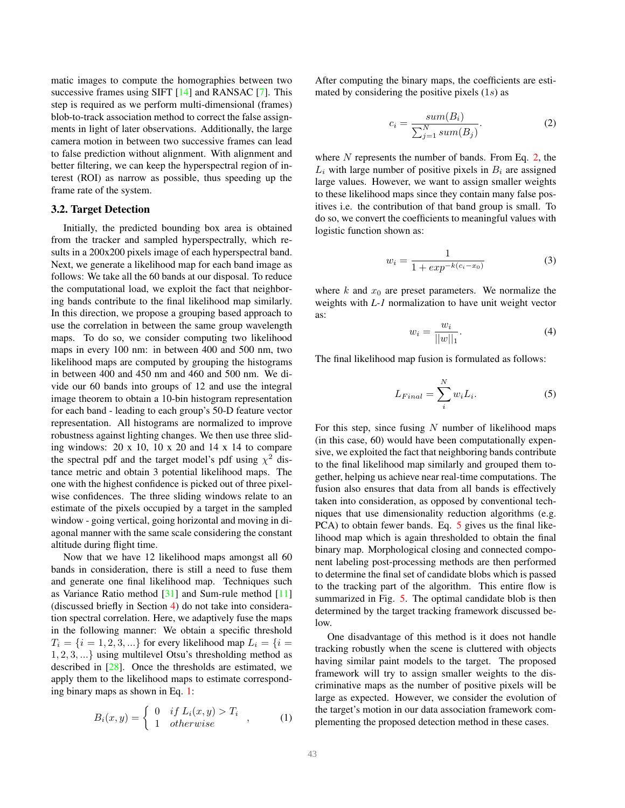<span id="page-4-5"></span>matic images to compute the homographies between two successive frames using SIFT [\[14\]](#page-8-19) and RANSAC [\[7\]](#page-8-20). This step is required as we perform multi-dimensional (frames) blob-to-track association method to correct the false assignments in light of later observations. Additionally, the large camera motion in between two successive frames can lead to false prediction without alignment. With alignment and better filtering, we can keep the hyperspectral region of interest (ROI) as narrow as possible, thus speeding up the frame rate of the system.

#### <span id="page-4-3"></span>3.2. Target Detection

Initially, the predicted bounding box area is obtained from the tracker and sampled hyperspectrally, which results in a 200x200 pixels image of each hyperspectral band. Next, we generate a likelihood map for each band image as follows: We take all the 60 bands at our disposal. To reduce the computational load, we exploit the fact that neighboring bands contribute to the final likelihood map similarly. In this direction, we propose a grouping based approach to use the correlation in between the same group wavelength maps. To do so, we consider computing two likelihood maps in every 100 nm: in between 400 and 500 nm, two likelihood maps are computed by grouping the histograms in between 400 and 450 nm and 460 and 500 nm. We divide our 60 bands into groups of 12 and use the integral image theorem to obtain a 10-bin histogram representation for each band - leading to each group's 50-D feature vector representation. All histograms are normalized to improve robustness against lighting changes. We then use three sliding windows: 20 x 10, 10 x 20 and 14 x 14 to compare the spectral pdf and the target model's pdf using  $\chi^2$  distance metric and obtain 3 potential likelihood maps. The one with the highest confidence is picked out of three pixelwise confidences. The three sliding windows relate to an estimate of the pixels occupied by a target in the sampled window - going vertical, going horizontal and moving in diagonal manner with the same scale considering the constant altitude during flight time.

Now that we have 12 likelihood maps amongst all 60 bands in consideration, there is still a need to fuse them and generate one final likelihood map. Techniques such as Variance Ratio method  $[31]$  and Sum-rule method  $[11]$ (discussed briefly in Section [4\)](#page-5-0) do not take into consideration spectral correlation. Here, we adaptively fuse the maps in the following manner: We obtain a specific threshold  $T_i = \{i = 1, 2, 3, ...\}$  for every likelihood map  $L_i = \{i = 1, 2, 3, ...\}$ 1, 2, 3, ...} using multilevel Otsu's thresholding method as described in [\[28\]](#page-9-2). Once the thresholds are estimated, we apply them to the likelihood maps to estimate corresponding binary maps as shown in Eq. [1:](#page-4-0)

<span id="page-4-0"></span>
$$
B_i(x,y) = \begin{cases} 0 & \text{if } L_i(x,y) > T_i \\ 1 & \text{otherwise} \end{cases}, \quad (1)
$$

After computing the binary maps, the coefficients are estimated by considering the positive pixels  $(1s)$  as

<span id="page-4-1"></span>
$$
c_i = \frac{sum(B_i)}{\sum_{j=1}^{N} sum(B_j)}.
$$
\n(2)

where  $N$  represents the number of bands. From Eq. [2,](#page-4-1) the  $L_i$  with large number of positive pixels in  $B_i$  are assigned large values. However, we want to assign smaller weights to these likelihood maps since they contain many false positives i.e. the contribution of that band group is small. To do so, we convert the coefficients to meaningful values with logistic function shown as:

<span id="page-4-4"></span>
$$
w_i = \frac{1}{1 + exp^{-k(c_i - x_0)}}
$$
 (3)

where  $k$  and  $x_0$  are preset parameters. We normalize the weights with *L-1* normalization to have unit weight vector as:

$$
w_i = \frac{w_i}{||w||_1}.
$$
 (4)

The final likelihood map fusion is formulated as follows:

<span id="page-4-2"></span>
$$
L_{Final} = \sum_{i}^{N} w_i L_i.
$$
 (5)

For this step, since fusing  $N$  number of likelihood maps (in this case, 60) would have been computationally expensive, we exploited the fact that neighboring bands contribute to the final likelihood map similarly and grouped them together, helping us achieve near real-time computations. The fusion also ensures that data from all bands is effectively taken into consideration, as opposed by conventional techniques that use dimensionality reduction algorithms (e.g. PCA) to obtain fewer bands. Eq. [5](#page-4-2) gives us the final likelihood map which is again thresholded to obtain the final binary map. Morphological closing and connected component labeling post-processing methods are then performed to determine the final set of candidate blobs which is passed to the tracking part of the algorithm. This entire flow is summarized in Fig. [5.](#page-5-1) The optimal candidate blob is then determined by the target tracking framework discussed below.

One disadvantage of this method is it does not handle tracking robustly when the scene is cluttered with objects having similar paint models to the target. The proposed framework will try to assign smaller weights to the discriminative maps as the number of positive pixels will be large as expected. However, we consider the evolution of the target's motion in our data association framework complementing the proposed detection method in these cases.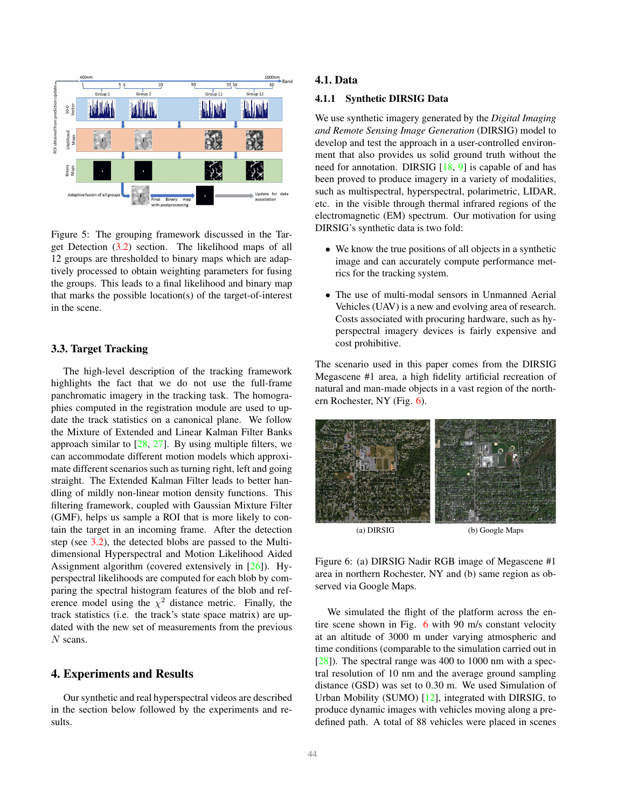<span id="page-5-3"></span><span id="page-5-1"></span>

Figure 5: The grouping framework discussed in the Target Detection [\(3.2\)](#page-4-3) section. The likelihood maps of all 12 groups are thresholded to binary maps which are adaptively processed to obtain weighting parameters for fusing the groups. This leads to a final likelihood and binary map that marks the possible location(s) of the target-of-interest in the scene.

#### 3.3. Target Tracking

The high-level description of the tracking framework highlights the fact that we do not use the full-frame panchromatic imagery in the tracking task. The homographies computed in the registration module are used to update the track statistics on a canonical plane. We follow the Mixture of Extended and Linear Kalman Filter Banks approach similar to  $[28, 27]$  $[28, 27]$  $[28, 27]$ . By using multiple filters, we can accommodate different motion models which approximate different scenarios such as turning right, left and going straight. The Extended Kalman Filter leads to better handling of mildly non-linear motion density functions. This filtering framework, coupled with Gaussian Mixture Filter (GMF), helps us sample a ROI that is more likely to contain the target in an incoming frame. After the detection step (see [3.2\)](#page-4-3), the detected blobs are passed to the Multidimensional Hyperspectral and Motion Likelihood Aided Assignment algorithm (covered extensively in [\[26\]](#page-8-11)). Hyperspectral likelihoods are computed for each blob by comparing the spectral histogram features of the blob and reference model using the  $\chi^2$  distance metric. Finally, the track statistics (i.e. the track's state space matrix) are updated with the new set of measurements from the previous N scans.

# <span id="page-5-0"></span>4. Experiments and Results

Our synthetic and real hyperspectral videos are described in the section below followed by the experiments and results.

# 4.1. Data

#### 4.1.1 Synthetic DIRSIG Data

We use synthetic imagery generated by the *Digital Imaging and Remote Sensing Image Generation* (DIRSIG) model to develop and test the approach in a user-controlled environment that also provides us solid ground truth without the need for annotation. DIRSIG [\[18,](#page-8-22) [9\]](#page-8-23) is capable of and has been proved to produce imagery in a variety of modalities, such as multispectral, hyperspectral, polarimetric, LIDAR, etc. in the visible through thermal infrared regions of the electromagnetic (EM) spectrum. Our motivation for using DIRSIG's synthetic data is two fold:

- We know the true positions of all objects in a synthetic image and can accurately compute performance metrics for the tracking system.
- The use of multi-modal sensors in Unmanned Aerial Vehicles (UAV) is a new and evolving area of research. Costs associated with procuring hardware, such as hyperspectral imagery devices is fairly expensive and cost prohibitive.

The scenario used in this paper comes from the DIRSIG Megascene #1 area, a high fidelity artificial recreation of natural and man-made objects in a vast region of the northern Rochester, NY (Fig. [6\)](#page-5-2).

<span id="page-5-2"></span>

Figure 6: (a) DIRSIG Nadir RGB image of Megascene #1 area in northern Rochester, NY and (b) same region as observed via Google Maps.

We simulated the flight of the platform across the entire scene shown in Fig. [6](#page-5-2) with 90 m/s constant velocity at an altitude of 3000 m under varying atmospheric and time conditions (comparable to the simulation carried out in [\[28\]](#page-9-2)). The spectral range was 400 to 1000 nm with a spectral resolution of 10 nm and the average ground sampling distance (GSD) was set to 0.30 m. We used Simulation of Urban Mobility (SUMO) [\[12\]](#page-8-24), integrated with DIRSIG, to produce dynamic images with vehicles moving along a predefined path. A total of 88 vehicles were placed in scenes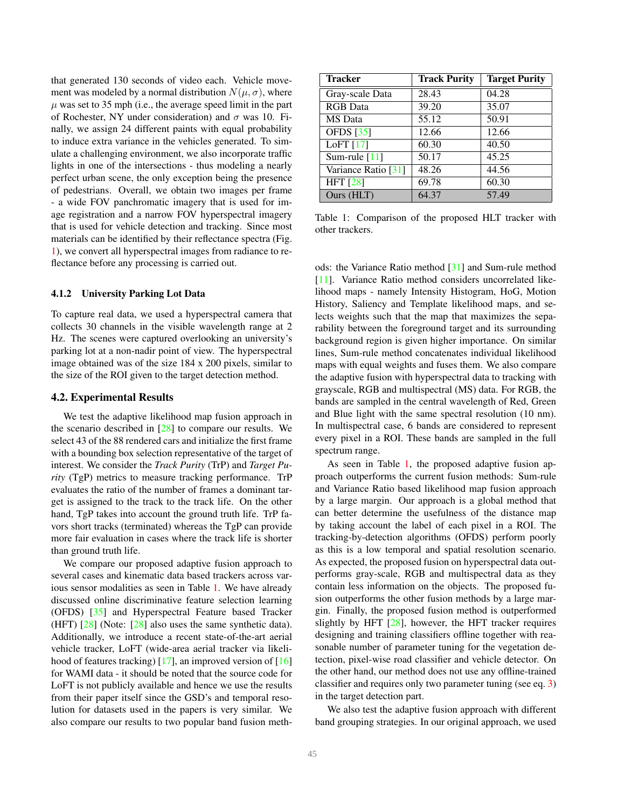<span id="page-6-1"></span>that generated 130 seconds of video each. Vehicle movement was modeled by a normal distribution  $N(\mu, \sigma)$ , where  $\mu$  was set to 35 mph (i.e., the average speed limit in the part of Rochester, NY under consideration) and  $\sigma$  was 10. Finally, we assign 24 different paints with equal probability to induce extra variance in the vehicles generated. To simulate a challenging environment, we also incorporate traffic lights in one of the intersections - thus modeling a nearly perfect urban scene, the only exception being the presence of pedestrians. Overall, we obtain two images per frame - a wide FOV panchromatic imagery that is used for image registration and a narrow FOV hyperspectral imagery that is used for vehicle detection and tracking. Since most materials can be identified by their reflectance spectra (Fig. [1\)](#page-0-0), we convert all hyperspectral images from radiance to reflectance before any processing is carried out.

#### 4.1.2 University Parking Lot Data

To capture real data, we used a hyperspectral camera that collects 30 channels in the visible wavelength range at 2 Hz. The scenes were captured overlooking an university's parking lot at a non-nadir point of view. The hyperspectral image obtained was of the size 184 x 200 pixels, similar to the size of the ROI given to the target detection method.

### 4.2. Experimental Results

We test the adaptive likelihood map fusion approach in the scenario described in  $[28]$  to compare our results. We select 43 of the 88 rendered cars and initialize the first frame with a bounding box selection representative of the target of interest. We consider the *Track Purity* (TrP) and *Target Purity* (TgP) metrics to measure tracking performance. TrP evaluates the ratio of the number of frames a dominant target is assigned to the track to the track life. On the other hand, TgP takes into account the ground truth life. TrP favors short tracks (terminated) whereas the TgP can provide more fair evaluation in cases where the track life is shorter than ground truth life.

We compare our proposed adaptive fusion approach to several cases and kinematic data based trackers across various sensor modalities as seen in Table [1.](#page-6-0) We have already discussed online discriminative feature selection learning (OFDS) [\[35\]](#page-9-0) and Hyperspectral Feature based Tracker (HFT) [\[28\]](#page-9-2) (Note: [\[28\]](#page-9-2) also uses the same synthetic data). Additionally, we introduce a recent state-of-the-art aerial vehicle tracker, LoFT (wide-area aerial tracker via likelihood of features tracking)  $[17]$ , an improved version of  $[16]$ for WAMI data - it should be noted that the source code for LoFT is not publicly available and hence we use the results from their paper itself since the GSD's and temporal resolution for datasets used in the papers is very similar. We also compare our results to two popular band fusion meth-

<span id="page-6-0"></span>

| <b>Tracker</b>      | <b>Track Purity</b> | <b>Target Purity</b> |
|---------------------|---------------------|----------------------|
| Gray-scale Data     | 28.43               | 04.28                |
| <b>RGB</b> Data     | 39.20               | 35.07                |
| <b>MS</b> Data      | 55.12               | 50.91                |
| <b>OFDS</b> [35]    | 12.66               | 12.66                |
| LoFT $[17]$         | 60.30               | 40.50                |
| Sum-rule $[11]$     | 50.17               | 45.25                |
| Variance Ratio [31] | 48.26               | 44.56                |
| <b>HFT</b> [28]     | 69.78               | 60.30                |
| Ours (HLT)          | 64.37               | 57.49                |

Table 1: Comparison of the proposed HLT tracker with other trackers.

ods: the Variance Ratio method [\[31\]](#page-9-5) and Sum-rule method [\[11\]](#page-8-21). Variance Ratio method considers uncorrelated likelihood maps - namely Intensity Histogram, HoG, Motion History, Saliency and Template likelihood maps, and selects weights such that the map that maximizes the separability between the foreground target and its surrounding background region is given higher importance. On similar lines, Sum-rule method concatenates individual likelihood maps with equal weights and fuses them. We also compare the adaptive fusion with hyperspectral data to tracking with grayscale, RGB and multispectral (MS) data. For RGB, the bands are sampled in the central wavelength of Red, Green and Blue light with the same spectral resolution (10 nm). In multispectral case, 6 bands are considered to represent every pixel in a ROI. These bands are sampled in the full spectrum range.

As seen in Table [1,](#page-6-0) the proposed adaptive fusion approach outperforms the current fusion methods: Sum-rule and Variance Ratio based likelihood map fusion approach by a large margin. Our approach is a global method that can better determine the usefulness of the distance map by taking account the label of each pixel in a ROI. The tracking-by-detection algorithms (OFDS) perform poorly as this is a low temporal and spatial resolution scenario. As expected, the proposed fusion on hyperspectral data outperforms gray-scale, RGB and multispectral data as they contain less information on the objects. The proposed fusion outperforms the other fusion methods by a large margin. Finally, the proposed fusion method is outperformed slightly by HFT [\[28\]](#page-9-2), however, the HFT tracker requires designing and training classifiers offline together with reasonable number of parameter tuning for the vegetation detection, pixel-wise road classifier and vehicle detector. On the other hand, our method does not use any offline-trained classifier and requires only two parameter tuning (see eq. [3\)](#page-4-4) in the target detection part.

We also test the adaptive fusion approach with different band grouping strategies. In our original approach, we used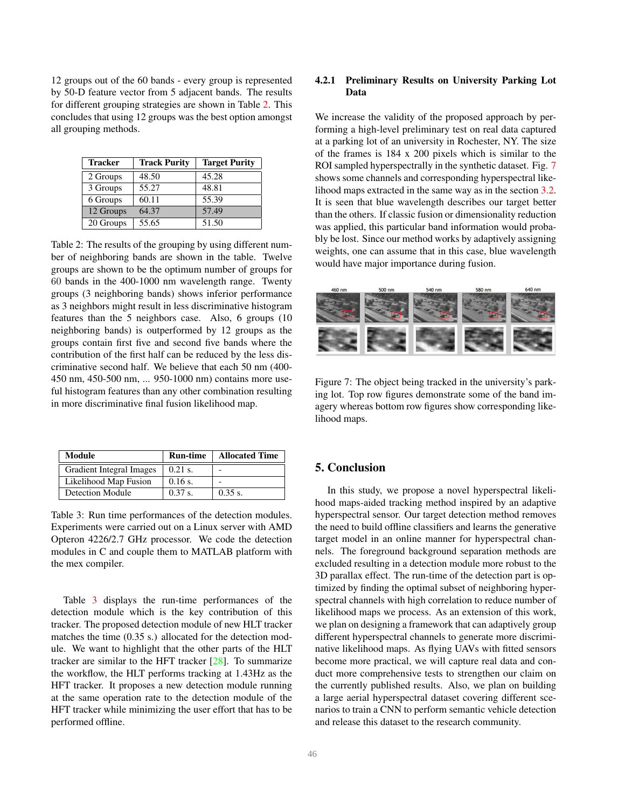<span id="page-7-4"></span>12 groups out of the 60 bands - every group is represented by 50-D feature vector from 5 adjacent bands. The results for different grouping strategies are shown in Table [2.](#page-7-1) This concludes that using 12 groups was the best option amongst all grouping methods.

<span id="page-7-1"></span>

| <b>Tracker</b>         | <b>Track Purity</b> | <b>Target Purity</b> |
|------------------------|---------------------|----------------------|
| 2 Groups               | 48.50               | 45.28                |
| 3 Groups               | 55.27               | 48.81                |
| 6 Groups               | 60.11               | 55.39                |
| 12 Groups              | 64.37               | 57.49                |
| $\overline{20}$ Groups | 55.65               | 51.50                |

Table 2: The results of the grouping by using different number of neighboring bands are shown in the table. Twelve groups are shown to be the optimum number of groups for 60 bands in the 400-1000 nm wavelength range. Twenty groups (3 neighboring bands) shows inferior performance as 3 neighbors might result in less discriminative histogram features than the 5 neighbors case. Also, 6 groups (10 neighboring bands) is outperformed by 12 groups as the groups contain first five and second five bands where the contribution of the first half can be reduced by the less discriminative second half. We believe that each 50 nm (400- 450 nm, 450-500 nm, ... 950-1000 nm) contains more useful histogram features than any other combination resulting in more discriminative final fusion likelihood map.

<span id="page-7-2"></span>

| <b>Module</b>            | Run-time  | <b>Allocated Time</b> |
|--------------------------|-----------|-----------------------|
| Gradient Integral Images | $0.21$ s. |                       |
| Likelihood Map Fusion    | $0.16$ s. |                       |
| Detection Module         | $0.37$ s. | $0.35$ s.             |

Table 3: Run time performances of the detection modules. Experiments were carried out on a Linux server with AMD Opteron 4226/2.7 GHz processor. We code the detection modules in C and couple them to MATLAB platform with the mex compiler.

Table [3](#page-7-2) displays the run-time performances of the detection module which is the key contribution of this tracker. The proposed detection module of new HLT tracker matches the time (0.35 s.) allocated for the detection module. We want to highlight that the other parts of the HLT tracker are similar to the HFT tracker [\[28\]](#page-9-2). To summarize the workflow, the HLT performs tracking at 1.43Hz as the HFT tracker. It proposes a new detection module running at the same operation rate to the detection module of the HFT tracker while minimizing the user effort that has to be performed offline.

# 4.2.1 Preliminary Results on University Parking Lot Data

We increase the validity of the proposed approach by performing a high-level preliminary test on real data captured at a parking lot of an university in Rochester, NY. The size of the frames is 184 x 200 pixels which is similar to the ROI sampled hyperspectrally in the synthetic dataset. Fig. [7](#page-7-3) shows some channels and corresponding hyperspectral likelihood maps extracted in the same way as in the section [3.2.](#page-4-3) It is seen that blue wavelength describes our target better than the others. If classic fusion or dimensionality reduction was applied, this particular band information would probably be lost. Since our method works by adaptively assigning weights, one can assume that in this case, blue wavelength would have major importance during fusion.

<span id="page-7-3"></span>

Figure 7: The object being tracked in the university's parking lot. Top row figures demonstrate some of the band imagery whereas bottom row figures show corresponding likelihood maps.

# <span id="page-7-0"></span>5. Conclusion

In this study, we propose a novel hyperspectral likelihood maps-aided tracking method inspired by an adaptive hyperspectral sensor. Our target detection method removes the need to build offline classifiers and learns the generative target model in an online manner for hyperspectral channels. The foreground background separation methods are excluded resulting in a detection module more robust to the 3D parallax effect. The run-time of the detection part is optimized by finding the optimal subset of neighboring hyperspectral channels with high correlation to reduce number of likelihood maps we process. As an extension of this work, we plan on designing a framework that can adaptively group different hyperspectral channels to generate more discriminative likelihood maps. As flying UAVs with fitted sensors become more practical, we will capture real data and conduct more comprehensive tests to strengthen our claim on the currently published results. Also, we plan on building a large aerial hyperspectral dataset covering different scenarios to train a CNN to perform semantic vehicle detection and release this dataset to the research community.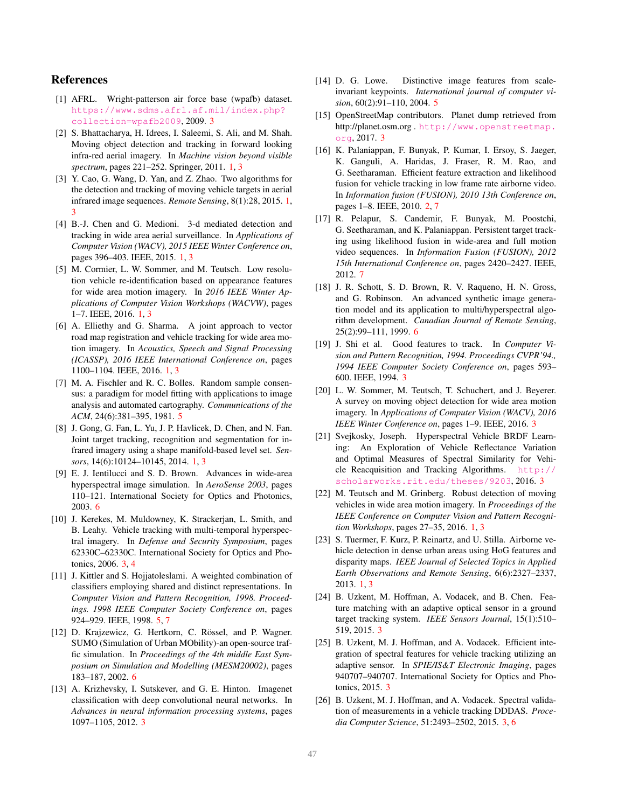# References

- <span id="page-8-14"></span>[1] AFRL. Wright-patterson air force base (wpafb) dataset. [https://www.sdms.afrl.af.mil/index.php?](https://www.sdms.afrl.af.mil/index.php?collection=wpafb2009) [collection=wpafb2009](https://www.sdms.afrl.af.mil/index.php?collection=wpafb2009), 2009. [3](#page-2-0)
- <span id="page-8-0"></span>[2] S. Bhattacharya, H. Idrees, I. Saleemi, S. Ali, and M. Shah. Moving object detection and tracking in forward looking infra-red aerial imagery. In *Machine vision beyond visible spectrum*, pages 221–252. Springer, 2011. [1,](#page-0-1) [3](#page-2-0)
- <span id="page-8-2"></span>[3] Y. Cao, G. Wang, D. Yan, and Z. Zhao. Two algorithms for the detection and tracking of moving vehicle targets in aerial infrared image sequences. *Remote Sensing*, 8(1):28, 2015. [1,](#page-0-1) [3](#page-2-0)
- <span id="page-8-4"></span>[4] B.-J. Chen and G. Medioni. 3-d mediated detection and tracking in wide area aerial surveillance. In *Applications of Computer Vision (WACV), 2015 IEEE Winter Conference on*, pages 396–403. IEEE, 2015. [1,](#page-0-1) [3](#page-2-0)
- <span id="page-8-5"></span>[5] M. Cormier, L. W. Sommer, and M. Teutsch. Low resolution vehicle re-identification based on appearance features for wide area motion imagery. In *2016 IEEE Winter Applications of Computer Vision Workshops (WACVW)*, pages 1–7. IEEE, 2016. [1,](#page-0-1) [3](#page-2-0)
- <span id="page-8-7"></span>[6] A. Elliethy and G. Sharma. A joint approach to vector road map registration and vehicle tracking for wide area motion imagery. In *Acoustics, Speech and Signal Processing (ICASSP), 2016 IEEE International Conference on*, pages 1100–1104. IEEE, 2016. [1,](#page-0-1) [3](#page-2-0)
- <span id="page-8-20"></span>[7] M. A. Fischler and R. C. Bolles. Random sample consensus: a paradigm for model fitting with applications to image analysis and automated cartography. *Communications of the ACM*, 24(6):381–395, 1981. [5](#page-4-5)
- <span id="page-8-1"></span>[8] J. Gong, G. Fan, L. Yu, J. P. Havlicek, D. Chen, and N. Fan. Joint target tracking, recognition and segmentation for infrared imagery using a shape manifold-based level set. *Sensors*, 14(6):10124–10145, 2014. [1,](#page-0-1) [3](#page-2-0)
- <span id="page-8-23"></span>[9] E. J. Ientilucci and S. D. Brown. Advances in wide-area hyperspectral image simulation. In *AeroSense 2003*, pages 110–121. International Society for Optics and Photonics, 2003. [6](#page-5-3)
- <span id="page-8-9"></span>[10] J. Kerekes, M. Muldowney, K. Strackerjan, L. Smith, and B. Leahy. Vehicle tracking with multi-temporal hyperspectral imagery. In *Defense and Security Symposium*, pages 62330C–62330C. International Society for Optics and Photonics, 2006. [3,](#page-2-0) [4](#page-3-2)
- <span id="page-8-21"></span>[11] J. Kittler and S. Hojjatoleslami. A weighted combination of classifiers employing shared and distinct representations. In *Computer Vision and Pattern Recognition, 1998. Proceedings. 1998 IEEE Computer Society Conference on*, pages 924–929. IEEE, 1998. [5,](#page-4-5) [7](#page-6-1)
- <span id="page-8-24"></span>[12] D. Krajzewicz, G. Hertkorn, C. Rössel, and P. Wagner. SUMO (Simulation of Urban MObility)-an open-source traffic simulation. In *Proceedings of the 4th middle East Symposium on Simulation and Modelling (MESM20002)*, pages 183–187, 2002. [6](#page-5-3)
- <span id="page-8-16"></span>[13] A. Krizhevsky, I. Sutskever, and G. E. Hinton. Imagenet classification with deep convolutional neural networks. In *Advances in neural information processing systems*, pages 1097–1105, 2012. [3](#page-2-0)
- <span id="page-8-19"></span>[14] D. G. Lowe. Distinctive image features from scaleinvariant keypoints. *International journal of computer vision*, 60(2):91–110, 2004. [5](#page-4-5)
- <span id="page-8-17"></span>[15] OpenStreetMap contributors. Planet dump retrieved from http://planet.osm.org . [http://www.openstreetmap.](http://www.openstreetmap.org) [org](http://www.openstreetmap.org), 2017. [3](#page-2-0)
- <span id="page-8-8"></span>[16] K. Palaniappan, F. Bunyak, P. Kumar, I. Ersoy, S. Jaeger, K. Ganguli, A. Haridas, J. Fraser, R. M. Rao, and G. Seetharaman. Efficient feature extraction and likelihood fusion for vehicle tracking in low frame rate airborne video. In *Information fusion (FUSION), 2010 13th Conference on*, pages 1–8. IEEE, 2010. [2,](#page-1-3) [7](#page-6-1)
- <span id="page-8-25"></span>[17] R. Pelapur, S. Candemir, F. Bunyak, M. Poostchi, G. Seetharaman, and K. Palaniappan. Persistent target tracking using likelihood fusion in wide-area and full motion video sequences. In *Information Fusion (FUSION), 2012 15th International Conference on*, pages 2420–2427. IEEE, 2012. [7](#page-6-1)
- <span id="page-8-22"></span>[18] J. R. Schott, S. D. Brown, R. V. Raqueno, H. N. Gross, and G. Robinson. An advanced synthetic image generation model and its application to multi/hyperspectral algorithm development. *Canadian Journal of Remote Sensing*, 25(2):99–111, 1999. [6](#page-5-3)
- <span id="page-8-13"></span>[19] J. Shi et al. Good features to track. In *Computer Vision and Pattern Recognition, 1994. Proceedings CVPR'94., 1994 IEEE Computer Society Conference on*, pages 593– 600. IEEE, 1994. [3](#page-2-0)
- <span id="page-8-15"></span>[20] L. W. Sommer, M. Teutsch, T. Schuchert, and J. Beyerer. A survey on moving object detection for wide area motion imagery. In *Applications of Computer Vision (WACV), 2016 IEEE Winter Conference on*, pages 1–9. IEEE, 2016. [3](#page-2-0)
- <span id="page-8-18"></span>[21] Svejkosky, Joseph. Hyperspectral Vehicle BRDF Learning: An Exploration of Vehicle Reflectance Variation and Optimal Measures of Spectral Similarity for Vehicle Reacquisition and Tracking Algorithms. [http://](http://scholarworks.rit.edu/theses/9203) [scholarworks.rit.edu/theses/9203](http://scholarworks.rit.edu/theses/9203), 2016. [3](#page-2-0)
- <span id="page-8-3"></span>[22] M. Teutsch and M. Grinberg. Robust detection of moving vehicles in wide area motion imagery. In *Proceedings of the IEEE Conference on Computer Vision and Pattern Recognition Workshops*, pages 27–35, 2016. [1,](#page-0-1) [3](#page-2-0)
- <span id="page-8-6"></span>[23] S. Tuermer, F. Kurz, P. Reinartz, and U. Stilla. Airborne vehicle detection in dense urban areas using HoG features and disparity maps. *IEEE Journal of Selected Topics in Applied Earth Observations and Remote Sensing*, 6(6):2327–2337, 2013. [1,](#page-0-1) [3](#page-2-0)
- <span id="page-8-10"></span>[24] B. Uzkent, M. Hoffman, A. Vodacek, and B. Chen. Feature matching with an adaptive optical sensor in a ground target tracking system. *IEEE Sensors Journal*, 15(1):510– 519, 2015. [3](#page-2-0)
- <span id="page-8-12"></span>[25] B. Uzkent, M. J. Hoffman, and A. Vodacek. Efficient integration of spectral features for vehicle tracking utilizing an adaptive sensor. In *SPIE/IS&T Electronic Imaging*, pages 940707–940707. International Society for Optics and Photonics, 2015. [3](#page-2-0)
- <span id="page-8-11"></span>[26] B. Uzkent, M. J. Hoffman, and A. Vodacek. Spectral validation of measurements in a vehicle tracking DDDAS. *Procedia Computer Science*, 51:2493–2502, 2015. [3,](#page-2-0) [6](#page-5-3)